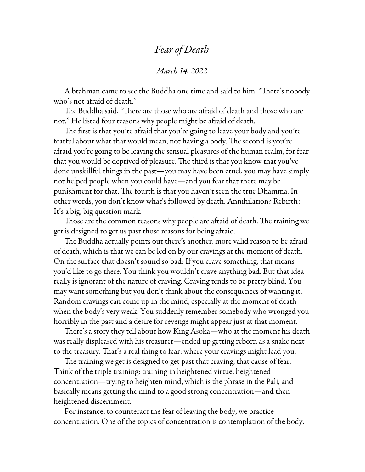## *Fear of Death*

## *March 14, 2022*

A brahman came to see the Buddha one time and said to him, "There's nobody who's not afraid of death."

The Buddha said, "There are those who are afraid of death and those who are not." He listed four reasons why people might be afraid of death.

The first is that you're afraid that you're going to leave your body and you're fearful about what that would mean, not having a body. The second is you're afraid you're going to be leaving the sensual pleasures of the human realm, for fear that you would be deprived of pleasure. The third is that you know that you've done unskillful things in the past—you may have been cruel, you may have simply not helped people when you could have—and you fear that there may be punishment for that. The fourth is that you haven't seen the true Dhamma. In other words, you don't know what's followed by death. Annihilation? Rebirth? It's a big, big question mark.

Those are the common reasons why people are afraid of death. The training we get is designed to get us past those reasons for being afraid.

The Buddha actually points out there's another, more valid reason to be afraid of death, which is that we can be led on by our cravings at the moment of death. On the surface that doesn't sound so bad: If you crave something, that means you'd like to go there. You think you wouldn't crave anything bad. But that idea really is ignorant of the nature of craving. Craving tends to be pretty blind. You may want something but you don't think about the consequences of wanting it. Random cravings can come up in the mind, especially at the moment of death when the body's very weak. You suddenly remember somebody who wronged you horribly in the past and a desire for revenge might appear just at that moment.

There's a story they tell about how King Asoka—who at the moment his death was really displeased with his treasurer—ended up getting reborn as a snake next to the treasury. That's a real thing to fear: where your cravings might lead you.

The training we get is designed to get past that craving, that cause of fear. Think of the triple training: training in heightened virtue, heightened concentration—trying to heighten mind, which is the phrase in the Pali, and basically means getting the mind to a good strong concentration—and then heightened discernment.

For instance, to counteract the fear of leaving the body, we practice concentration. One of the topics of concentration is contemplation of the body,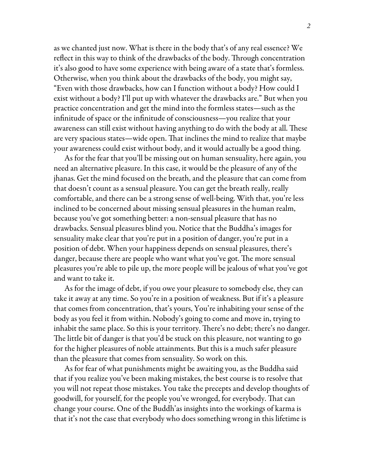as we chanted just now. What is there in the body that's of any real essence? We reflect in this way to think of the drawbacks of the body. Through concentration it's also good to have some experience with being aware of a state that's formless. Otherwise, when you think about the drawbacks of the body, you might say, "Even with those drawbacks, how can I function without a body? How could I exist without a body? I'll put up with whatever the drawbacks are." But when you practice concentration and get the mind into the formless states—such as the infinitude of space or the infinitude of consciousness—you realize that your awareness can still exist without having anything to do with the body at all. These are very spacious states—wide open. That inclines the mind to realize that maybe your awareness could exist without body, and it would actually be a good thing.

As for the fear that you'll be missing out on human sensuality, here again, you need an alternative pleasure. In this case, it would be the pleasure of any of the jhanas. Get the mind focused on the breath, and the pleasure that can come from that doesn't count as a sensual pleasure. You can get the breath really, really comfortable, and there can be a strong sense of well-being. With that, you're less inclined to be concerned about missing sensual pleasures in the human realm, because you've got something better: a non-sensual pleasure that has no drawbacks. Sensual pleasures blind you. Notice that the Buddha's images for sensuality make clear that you're put in a position of danger, you're put in a position of debt. When your happiness depends on sensual pleasures, there's danger, because there are people who want what you've got. The more sensual pleasures you're able to pile up, the more people will be jealous of what you've got and want to take it.

As for the image of debt, if you owe your pleasure to somebody else, they can take it away at any time. So you're in a position of weakness. But if it's a pleasure that comes from concentration, that's yours, You're inhabiting your sense of the body as you feel it from within. Nobody's going to come and move in, trying to inhabit the same place. So this is your territory. There's no debt; there's no danger. The little bit of danger is that you'd be stuck on this pleasure, not wanting to go for the higher pleasures of noble attainments. But this is a much safer pleasure than the pleasure that comes from sensuality. So work on this.

As for fear of what punishments might be awaiting you, as the Buddha said that if you realize you've been making mistakes, the best course is to resolve that you will not repeat those mistakes. You take the precepts and develop thoughts of goodwill, for yourself, for the people you've wronged, for everybody. That can change your course. One of the Buddh'as insights into the workings of karma is that it's not the case that everybody who does something wrong in this lifetime is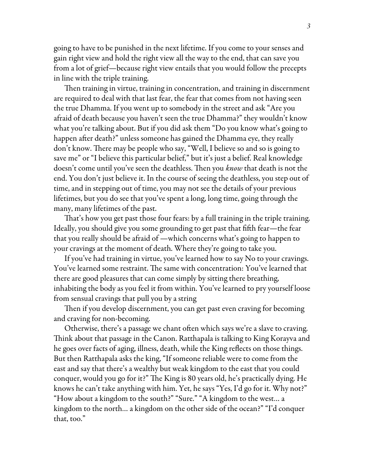going to have to be punished in the next lifetime. If you come to your senses and gain right view and hold the right view all the way to the end, that can save you from a lot of grief—because right view entails that you would follow the precepts in line with the triple training.

Then training in virtue, training in concentration, and training in discernment are required to deal with that last fear, the fear that comes from not having seen the true Dhamma. If you went up to somebody in the street and ask "Are you afraid of death because you haven't seen the true Dhamma?" they wouldn't know what you're talking about. But if you did ask them "Do you know what's going to happen after death?" unless someone has gained the Dhamma eye, they really don't know. There may be people who say, "Well, I believe so and so is going to save me" or "I believe this particular belief," but it's just a belief. Real knowledge doesn't come until you've seen the deathless. Then you *know* that death is not the end. You don't just believe it. In the course of seeing the deathless, you step out of time, and in stepping out of time, you may not see the details of your previous lifetimes, but you do see that you've spent a long, long time, going through the many, many lifetimes of the past.

That's how you get past those four fears: by a full training in the triple training. Ideally, you should give you some grounding to get past that fifth fear—the fear that you really should be afraid of —which concerns what's going to happen to your cravings at the moment of death. Where they're going to take you.

If you've had training in virtue, you've learned how to say No to your cravings. You've learned some restraint. The same with concentration: You've learned that there are good pleasures that can come simply by sitting there breathing, inhabiting the body as you feel it from within. You've learned to pry yourself loose from sensual cravings that pull you by a string

Then if you develop discernment, you can get past even craving for becoming and craving for non-becoming.

Otherwise, there's a passage we chant often which says we're a slave to craving. Think about that passage in the Canon. Ratthapala is talking to King Korayva and he goes over facts of aging, illness, death, while the King reflects on those things. But then Ratthapala asks the king, "If someone reliable were to come from the east and say that there's a wealthy but weak kingdom to the east that you could conquer, would you go for it?" The King is 80 years old, he's practically dying. He knows he can't take anything with him. Yet, he says "Yes, I'd go for it. Why not?" "How about a kingdom to the south?" "Sure." "A kingdom to the west… a kingdom to the north… a kingdom on the other side of the ocean?" "I'd conquer that, too."